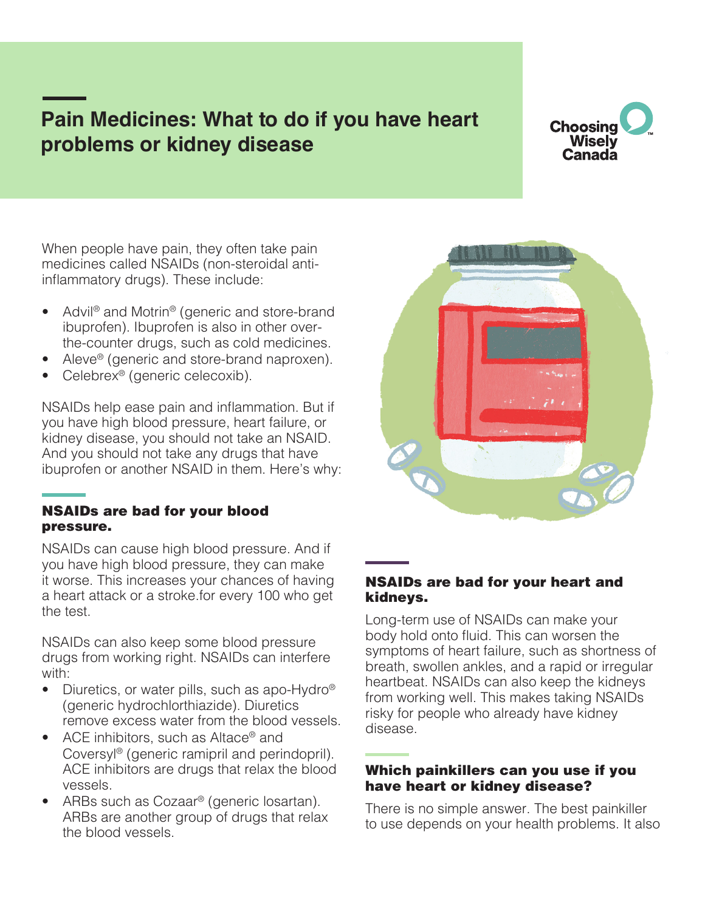# **Pain Medicines: What to do if you have heart problems or kidney disease**

## **Choosing Wisely** Canada

When people have pain, they often take pain medicines called NSAIDs (non-steroidal antiinflammatory drugs). These include:

- Advil® and Motrin® (generic and store-brand ibuprofen). Ibuprofen is also in other overthe-counter drugs, such as cold medicines.
- Aleve<sup>®</sup> (generic and store-brand naproxen).
- Celebrex<sup>®</sup> (generic celecoxib).

NSAIDs help ease pain and inflammation. But if you have high blood pressure, heart failure, or kidney disease, you should not take an NSAID. And you should not take any drugs that have ibuprofen or another NSAID in them. Here's why:

#### NSAIDs are bad for your blood pressure.

NSAIDs can cause high blood pressure. And if you have high blood pressure, they can make it worse. This increases your chances of having a heart attack or a stroke.for every 100 who get the test.

NSAIDs can also keep some blood pressure drugs from working right. NSAIDs can interfere with:

- Diuretics, or water pills, such as apo-Hydro® (generic hydrochlorthiazide). Diuretics remove excess water from the blood vessels.
- ACE inhibitors, such as Altace<sup>®</sup> and Coversyl® (generic ramipril and perindopril). ACE inhibitors are drugs that relax the blood vessels.
- ARBs such as Cozaar<sup>®</sup> (generic losartan). ARBs are another group of drugs that relax the blood vessels.



#### NSAIDs are bad for your heart and kidneys.

Long-term use of NSAIDs can make your body hold onto fluid. This can worsen the symptoms of heart failure, such as shortness of breath, swollen ankles, and a rapid or irregular heartbeat. NSAIDs can also keep the kidneys from working well. This makes taking NSAIDs risky for people who already have kidney disease.

#### Which painkillers can you use if you have heart or kidney disease?

There is no simple answer. The best painkiller to use depends on your health problems. It also